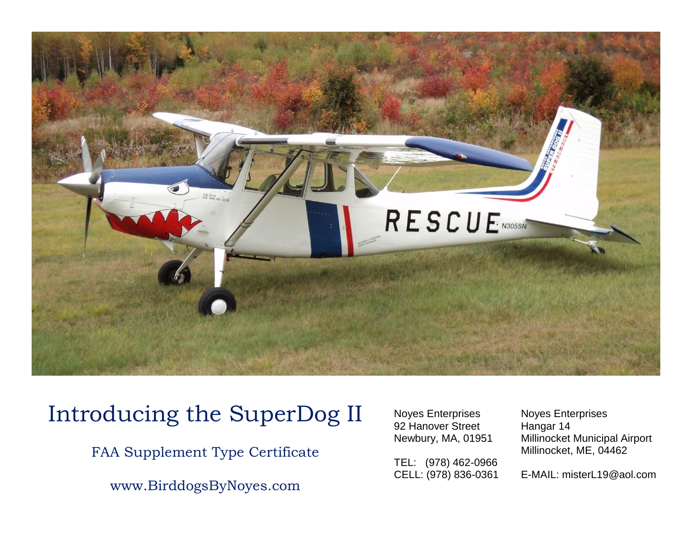

## Introducing the SuperDog II

FAA Supplement Type Certificate

www.BirddogsByNoyes.com

Noyes Enterprises Noyes Enterprises 92 Hanover Street Hangar 14

TEL: (978) 462-0966<br>CELL: (978) 836-0361

Newbury, MA, 01951 Millinocket Municipal Airport Millinocket, ME, 04462

E-MAIL: misterL19@aol.com